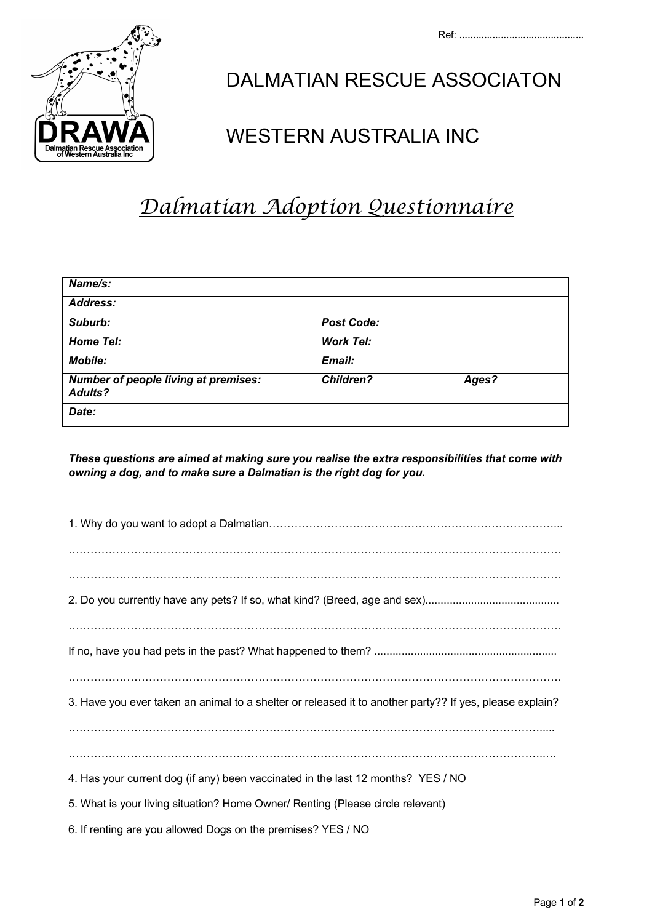

## DALMATIAN RESCUE ASSOCIATON

## $\left( \mathcal{M}_{\tiny \text{InInflation} \atop \text{Inematical Rescule Association} } \mathcal{M}_{\tiny \text{Stuben} \atop \text{Inform} } \mathcal{M}_{\tiny \text{Stuben} \atop \text{Inform} } \mathcal{M}_{\tiny \text{Stublin} \atop \text{Inform} } \mathcal{M}_{\tiny \text{Stublin} \atop \text{Inform} } \mathcal{M}_{\tiny \text{Stublin} \atop \text{Inform} } \mathcal{M}_{\tiny \text{Stublin} \atop \text{Inform} } \mathcal{M}_{\tiny \text{Stublin} \atop \text{Inform} } \mathcal{M}_{\tiny \text$

## *Dalmatian Adoption Questionnaire*

| Name/s:                                                       |                           |
|---------------------------------------------------------------|---------------------------|
| <b>Address:</b>                                               |                           |
| Suburb:                                                       | <b>Post Code:</b>         |
| <b>Home Tel:</b>                                              | <b>Work Tel:</b>          |
| <b>Mobile:</b>                                                | Email:                    |
| <b>Number of people living at premises:</b><br><b>Adults?</b> | <b>Children?</b><br>Ages? |
| Date:                                                         |                           |

*These questions are aimed at making sure you realise the extra responsibilities that come with owning a dog, and to make sure a Dalmatian is the right dog for you.*

| 3. Have you ever taken an animal to a shelter or released it to another party?? If yes, please explain? |
|---------------------------------------------------------------------------------------------------------|
|                                                                                                         |
|                                                                                                         |
| 4. Has your current dog (if any) been vaccinated in the last 12 months? YES / NO                        |
| 5. What is your living situation? Home Owner/ Renting (Please circle relevant)                          |

6. If renting are you allowed Dogs on the premises? YES / NO